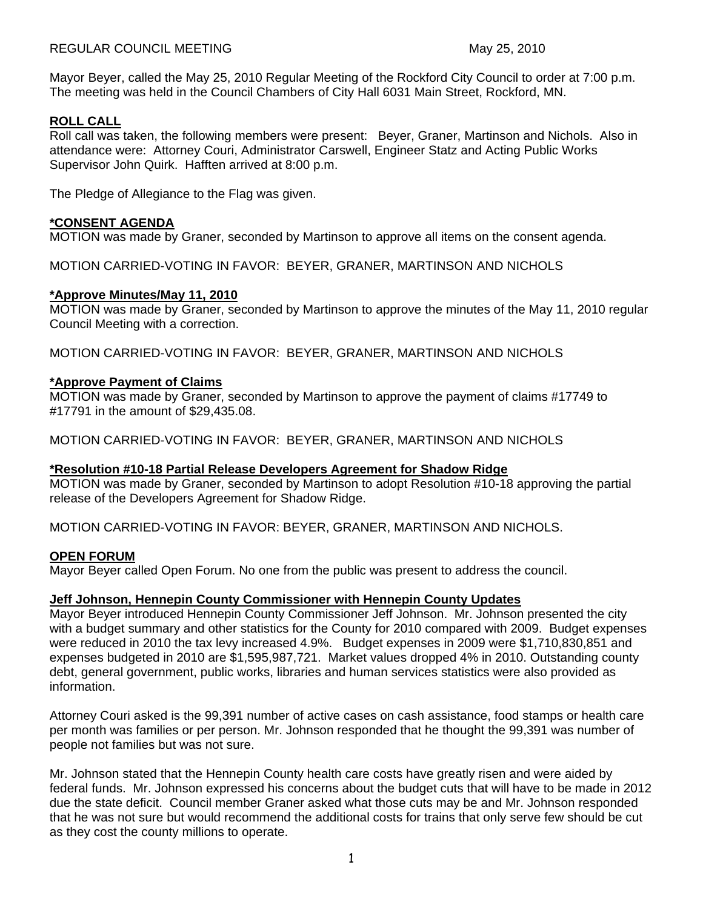Mayor Beyer, called the May 25, 2010 Regular Meeting of the Rockford City Council to order at 7:00 p.m. The meeting was held in the Council Chambers of City Hall 6031 Main Street, Rockford, MN.

# **ROLL CALL**

Roll call was taken, the following members were present: Beyer, Graner, Martinson and Nichols. Also in attendance were: Attorney Couri, Administrator Carswell, Engineer Statz and Acting Public Works Supervisor John Quirk. Hafften arrived at 8:00 p.m.

The Pledge of Allegiance to the Flag was given.

# **\*CONSENT AGENDA**

MOTION was made by Graner, seconded by Martinson to approve all items on the consent agenda.

MOTION CARRIED-VOTING IN FAVOR: BEYER, GRANER, MARTINSON AND NICHOLS

### **\*Approve Minutes/May 11, 2010**

MOTION was made by Graner, seconded by Martinson to approve the minutes of the May 11, 2010 regular Council Meeting with a correction.

MOTION CARRIED-VOTING IN FAVOR: BEYER, GRANER, MARTINSON AND NICHOLS

# **\*Approve Payment of Claims**

MOTION was made by Graner, seconded by Martinson to approve the payment of claims #17749 to #17791 in the amount of \$29,435.08.

MOTION CARRIED-VOTING IN FAVOR: BEYER, GRANER, MARTINSON AND NICHOLS

# **\*Resolution #10-18 Partial Release Developers Agreement for Shadow Ridge**

MOTION was made by Graner, seconded by Martinson to adopt Resolution #10-18 approving the partial release of the Developers Agreement for Shadow Ridge.

MOTION CARRIED-VOTING IN FAVOR: BEYER, GRANER, MARTINSON AND NICHOLS.

#### **OPEN FORUM**

Mayor Beyer called Open Forum. No one from the public was present to address the council.

# **Jeff Johnson, Hennepin County Commissioner with Hennepin County Updates**

Mayor Beyer introduced Hennepin County Commissioner Jeff Johnson. Mr. Johnson presented the city with a budget summary and other statistics for the County for 2010 compared with 2009. Budget expenses were reduced in 2010 the tax levy increased 4.9%. Budget expenses in 2009 were \$1,710,830,851 and expenses budgeted in 2010 are \$1,595,987,721. Market values dropped 4% in 2010. Outstanding county debt, general government, public works, libraries and human services statistics were also provided as information.

Attorney Couri asked is the 99,391 number of active cases on cash assistance, food stamps or health care per month was families or per person. Mr. Johnson responded that he thought the 99,391 was number of people not families but was not sure.

Mr. Johnson stated that the Hennepin County health care costs have greatly risen and were aided by federal funds. Mr. Johnson expressed his concerns about the budget cuts that will have to be made in 2012 due the state deficit. Council member Graner asked what those cuts may be and Mr. Johnson responded that he was not sure but would recommend the additional costs for trains that only serve few should be cut as they cost the county millions to operate.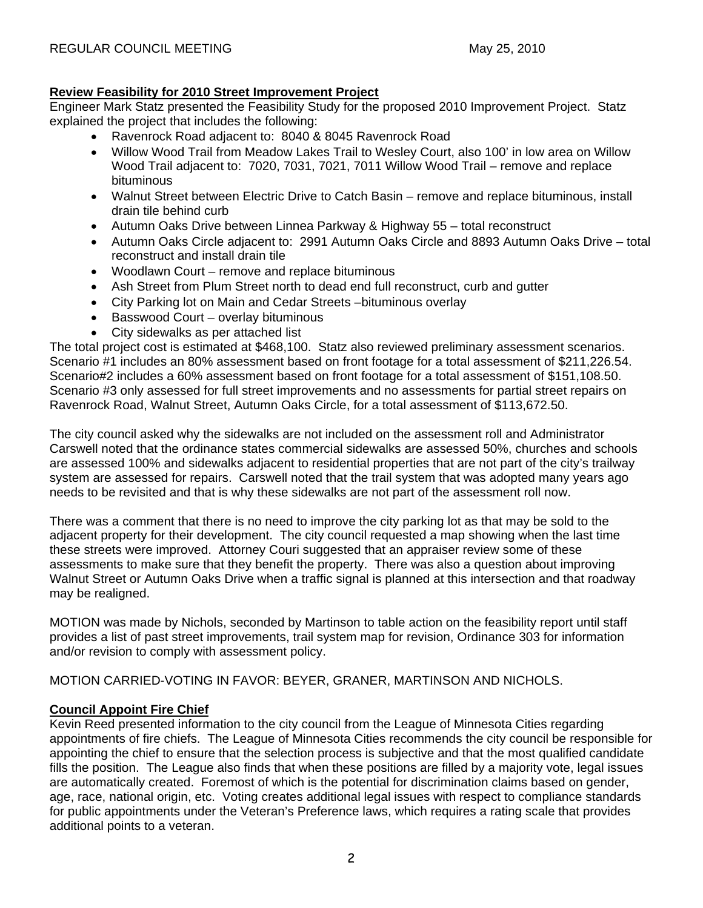# **Review Feasibility for 2010 Street Improvement Project**

Engineer Mark Statz presented the Feasibility Study for the proposed 2010 Improvement Project. Statz explained the project that includes the following:

- Ravenrock Road adjacent to: 8040 & 8045 Ravenrock Road
- Willow Wood Trail from Meadow Lakes Trail to Wesley Court, also 100' in low area on Willow Wood Trail adjacent to: 7020, 7031, 7021, 7011 Willow Wood Trail – remove and replace bituminous
- Walnut Street between Electric Drive to Catch Basin remove and replace bituminous, install drain tile behind curb
- Autumn Oaks Drive between Linnea Parkway & Highway 55 total reconstruct
- Autumn Oaks Circle adjacent to: 2991 Autumn Oaks Circle and 8893 Autumn Oaks Drive total reconstruct and install drain tile
- Woodlawn Court remove and replace bituminous
- Ash Street from Plum Street north to dead end full reconstruct, curb and qutter
- City Parking lot on Main and Cedar Streets –bituminous overlay
- Basswood Court overlay bituminous
- City sidewalks as per attached list

The total project cost is estimated at \$468,100. Statz also reviewed preliminary assessment scenarios. Scenario #1 includes an 80% assessment based on front footage for a total assessment of \$211,226.54. Scenario#2 includes a 60% assessment based on front footage for a total assessment of \$151,108.50. Scenario #3 only assessed for full street improvements and no assessments for partial street repairs on Ravenrock Road, Walnut Street, Autumn Oaks Circle, for a total assessment of \$113,672.50.

The city council asked why the sidewalks are not included on the assessment roll and Administrator Carswell noted that the ordinance states commercial sidewalks are assessed 50%, churches and schools are assessed 100% and sidewalks adjacent to residential properties that are not part of the city's trailway system are assessed for repairs. Carswell noted that the trail system that was adopted many years ago needs to be revisited and that is why these sidewalks are not part of the assessment roll now.

There was a comment that there is no need to improve the city parking lot as that may be sold to the adjacent property for their development. The city council requested a map showing when the last time these streets were improved. Attorney Couri suggested that an appraiser review some of these assessments to make sure that they benefit the property. There was also a question about improving Walnut Street or Autumn Oaks Drive when a traffic signal is planned at this intersection and that roadway may be realigned.

MOTION was made by Nichols, seconded by Martinson to table action on the feasibility report until staff provides a list of past street improvements, trail system map for revision, Ordinance 303 for information and/or revision to comply with assessment policy.

MOTION CARRIED-VOTING IN FAVOR: BEYER, GRANER, MARTINSON AND NICHOLS.

# **Council Appoint Fire Chief**

Kevin Reed presented information to the city council from the League of Minnesota Cities regarding appointments of fire chiefs. The League of Minnesota Cities recommends the city council be responsible for appointing the chief to ensure that the selection process is subjective and that the most qualified candidate fills the position. The League also finds that when these positions are filled by a majority vote, legal issues are automatically created. Foremost of which is the potential for discrimination claims based on gender, age, race, national origin, etc. Voting creates additional legal issues with respect to compliance standards for public appointments under the Veteran's Preference laws, which requires a rating scale that provides additional points to a veteran.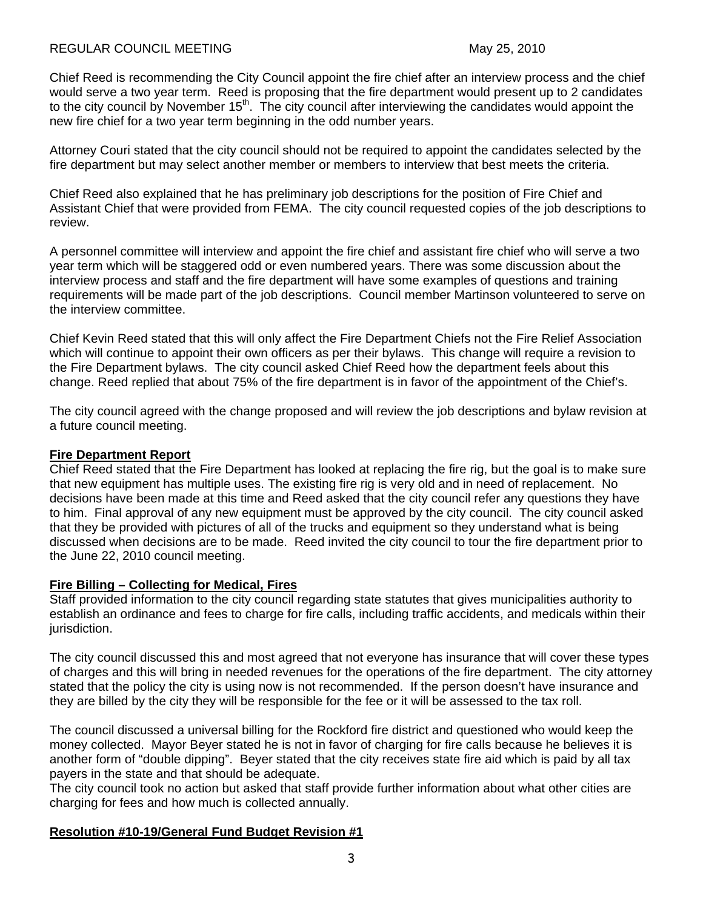### REGULAR COUNCIL MEETING May 25, 2010

Chief Reed is recommending the City Council appoint the fire chief after an interview process and the chief would serve a two year term. Reed is proposing that the fire department would present up to 2 candidates to the city council by November 15<sup>th</sup>. The city council after interviewing the candidates would appoint the new fire chief for a two year term beginning in the odd number years.

Attorney Couri stated that the city council should not be required to appoint the candidates selected by the fire department but may select another member or members to interview that best meets the criteria.

Chief Reed also explained that he has preliminary job descriptions for the position of Fire Chief and Assistant Chief that were provided from FEMA. The city council requested copies of the job descriptions to review.

A personnel committee will interview and appoint the fire chief and assistant fire chief who will serve a two year term which will be staggered odd or even numbered years. There was some discussion about the interview process and staff and the fire department will have some examples of questions and training requirements will be made part of the job descriptions. Council member Martinson volunteered to serve on the interview committee.

Chief Kevin Reed stated that this will only affect the Fire Department Chiefs not the Fire Relief Association which will continue to appoint their own officers as per their bylaws. This change will require a revision to the Fire Department bylaws. The city council asked Chief Reed how the department feels about this change. Reed replied that about 75% of the fire department is in favor of the appointment of the Chief's.

The city council agreed with the change proposed and will review the job descriptions and bylaw revision at a future council meeting.

### **Fire Department Report**

Chief Reed stated that the Fire Department has looked at replacing the fire rig, but the goal is to make sure that new equipment has multiple uses. The existing fire rig is very old and in need of replacement. No decisions have been made at this time and Reed asked that the city council refer any questions they have to him. Final approval of any new equipment must be approved by the city council. The city council asked that they be provided with pictures of all of the trucks and equipment so they understand what is being discussed when decisions are to be made. Reed invited the city council to tour the fire department prior to the June 22, 2010 council meeting.

#### **Fire Billing – Collecting for Medical, Fires**

Staff provided information to the city council regarding state statutes that gives municipalities authority to establish an ordinance and fees to charge for fire calls, including traffic accidents, and medicals within their jurisdiction.

The city council discussed this and most agreed that not everyone has insurance that will cover these types of charges and this will bring in needed revenues for the operations of the fire department. The city attorney stated that the policy the city is using now is not recommended. If the person doesn't have insurance and they are billed by the city they will be responsible for the fee or it will be assessed to the tax roll.

The council discussed a universal billing for the Rockford fire district and questioned who would keep the money collected. Mayor Beyer stated he is not in favor of charging for fire calls because he believes it is another form of "double dipping". Beyer stated that the city receives state fire aid which is paid by all tax payers in the state and that should be adequate.

The city council took no action but asked that staff provide further information about what other cities are charging for fees and how much is collected annually.

# **Resolution #10-19/General Fund Budget Revision #1**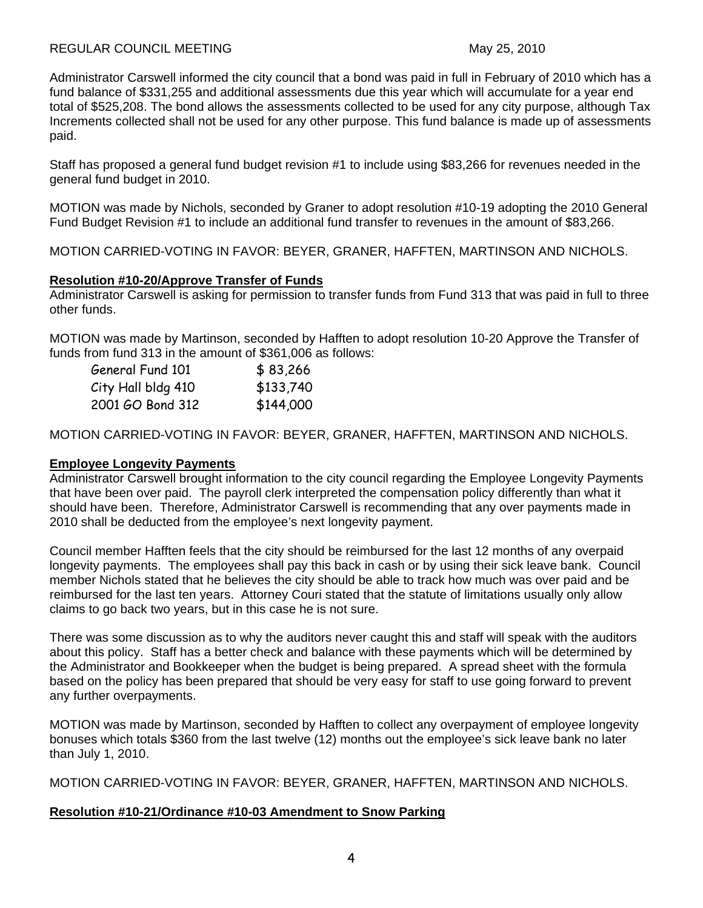# REGULAR COUNCIL MEETING May 25, 2010

Administrator Carswell informed the city council that a bond was paid in full in February of 2010 which has a fund balance of \$331,255 and additional assessments due this year which will accumulate for a year end total of \$525,208. The bond allows the assessments collected to be used for any city purpose, although Tax Increments collected shall not be used for any other purpose. This fund balance is made up of assessments paid.

Staff has proposed a general fund budget revision #1 to include using \$83,266 for revenues needed in the general fund budget in 2010.

MOTION was made by Nichols, seconded by Graner to adopt resolution #10-19 adopting the 2010 General Fund Budget Revision #1 to include an additional fund transfer to revenues in the amount of \$83,266.

MOTION CARRIED-VOTING IN FAVOR: BEYER, GRANER, HAFFTEN, MARTINSON AND NICHOLS.

# **Resolution #10-20/Approve Transfer of Funds**

Administrator Carswell is asking for permission to transfer funds from Fund 313 that was paid in full to three other funds.

MOTION was made by Martinson, seconded by Hafften to adopt resolution 10-20 Approve the Transfer of funds from fund 313 in the amount of \$361,006 as follows:

| General Fund 101   | \$83,266  |
|--------------------|-----------|
| City Hall bldg 410 | \$133,740 |
| 2001 GO Bond 312   | \$144,000 |

MOTION CARRIED-VOTING IN FAVOR: BEYER, GRANER, HAFFTEN, MARTINSON AND NICHOLS.

# **Employee Longevity Payments**

Administrator Carswell brought information to the city council regarding the Employee Longevity Payments that have been over paid. The payroll clerk interpreted the compensation policy differently than what it should have been. Therefore, Administrator Carswell is recommending that any over payments made in 2010 shall be deducted from the employee's next longevity payment.

Council member Hafften feels that the city should be reimbursed for the last 12 months of any overpaid longevity payments. The employees shall pay this back in cash or by using their sick leave bank. Council member Nichols stated that he believes the city should be able to track how much was over paid and be reimbursed for the last ten years. Attorney Couri stated that the statute of limitations usually only allow claims to go back two years, but in this case he is not sure.

There was some discussion as to why the auditors never caught this and staff will speak with the auditors about this policy. Staff has a better check and balance with these payments which will be determined by the Administrator and Bookkeeper when the budget is being prepared. A spread sheet with the formula based on the policy has been prepared that should be very easy for staff to use going forward to prevent any further overpayments.

MOTION was made by Martinson, seconded by Hafften to collect any overpayment of employee longevity bonuses which totals \$360 from the last twelve (12) months out the employee's sick leave bank no later than July 1, 2010.

MOTION CARRIED-VOTING IN FAVOR: BEYER, GRANER, HAFFTEN, MARTINSON AND NICHOLS.

# **Resolution #10-21/Ordinance #10-03 Amendment to Snow Parking**